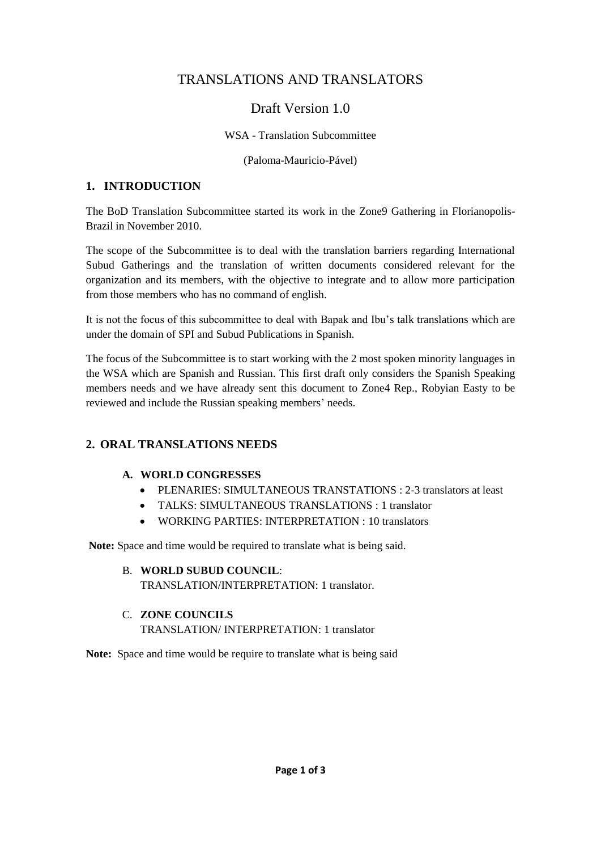# TRANSLATIONS AND TRANSLATORS

## Draft Version 1.0

#### WSA - Translation Subcommittee

(Paloma-Mauricio-Pável)

## **1. INTRODUCTION**

The BoD Translation Subcommittee started its work in the Zone9 Gathering in Florianopolis-Brazil in November 2010.

The scope of the Subcommittee is to deal with the translation barriers regarding International Subud Gatherings and the translation of written documents considered relevant for the organization and its members, with the objective to integrate and to allow more participation from those members who has no command of english.

It is not the focus of this subcommittee to deal with Bapak and Ibu's talk translations which are under the domain of SPI and Subud Publications in Spanish.

The focus of the Subcommittee is to start working with the 2 most spoken minority languages in the WSA which are Spanish and Russian. This first draft only considers the Spanish Speaking members needs and we have already sent this document to Zone4 Rep., Robyian Easty to be reviewed and include the Russian speaking members' needs.

## **2. ORAL TRANSLATIONS NEEDS**

#### **A. WORLD CONGRESSES**

- PLENARIES: SIMULTANEOUS TRANSTATIONS : 2-3 translators at least
- TALKS: SIMULTANEOUS TRANSLATIONS : 1 translator
- WORKING PARTIES: INTERPRETATION : 10 translators

**Note:** Space and time would be required to translate what is being said.

- B. **WORLD SUBUD COUNCIL**: TRANSLATION/INTERPRETATION: 1 translator.
- C. **ZONE COUNCILS** TRANSLATION/ INTERPRETATION: 1 translator

**Note:** Space and time would be require to translate what is being said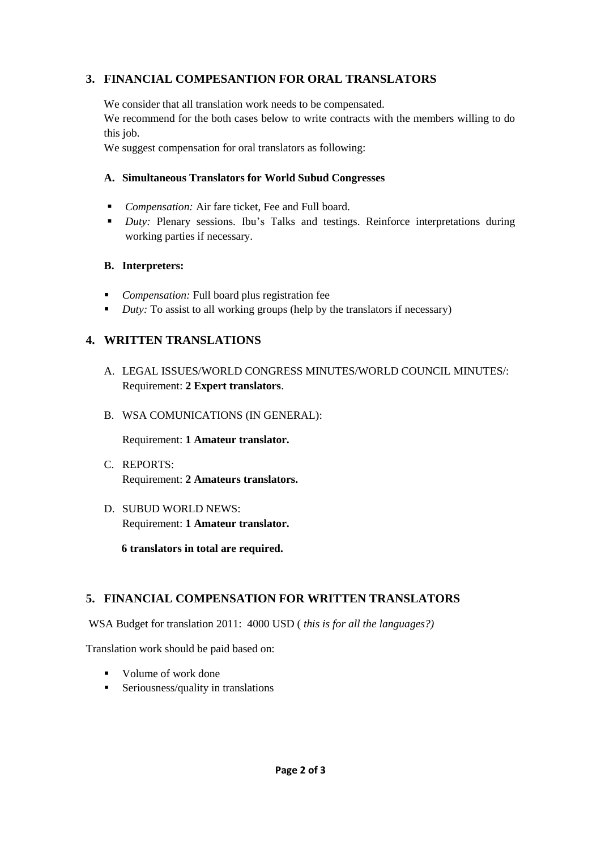## **3. FINANCIAL COMPESANTION FOR ORAL TRANSLATORS**

We consider that all translation work needs to be compensated.

We recommend for the both cases below to write contracts with the members willing to do this job.

We suggest compensation for oral translators as following:

#### **A. Simultaneous Translators for World Subud Congresses**

- *Compensation:* Air fare ticket, Fee and Full board.
- **Duty:** Plenary sessions. Ibu's Talks and testings. Reinforce interpretations during working parties if necessary.

#### **B. Interpreters:**

- *Compensation:* Full board plus registration fee
- *Duty:* To assist to all working groups (help by the translators if necessary)

## **4. WRITTEN TRANSLATIONS**

- A. LEGAL ISSUES/WORLD CONGRESS MINUTES/WORLD COUNCIL MINUTES/: Requirement: **2 Expert translators**.
- B. WSA COMUNICATIONS (IN GENERAL):

Requirement: **1 Amateur translator.**

- C. REPORTS: Requirement: **2 Amateurs translators.**
- D. SUBUD WORLD NEWS: Requirement: **1 Amateur translator.**

**6 translators in total are required.**

## **5. FINANCIAL COMPENSATION FOR WRITTEN TRANSLATORS**

WSA Budget for translation 2011: 4000 USD ( *this is for all the languages?)*

Translation work should be paid based on:

- Volume of work done
- $\blacksquare$  Seriousness/quality in translations